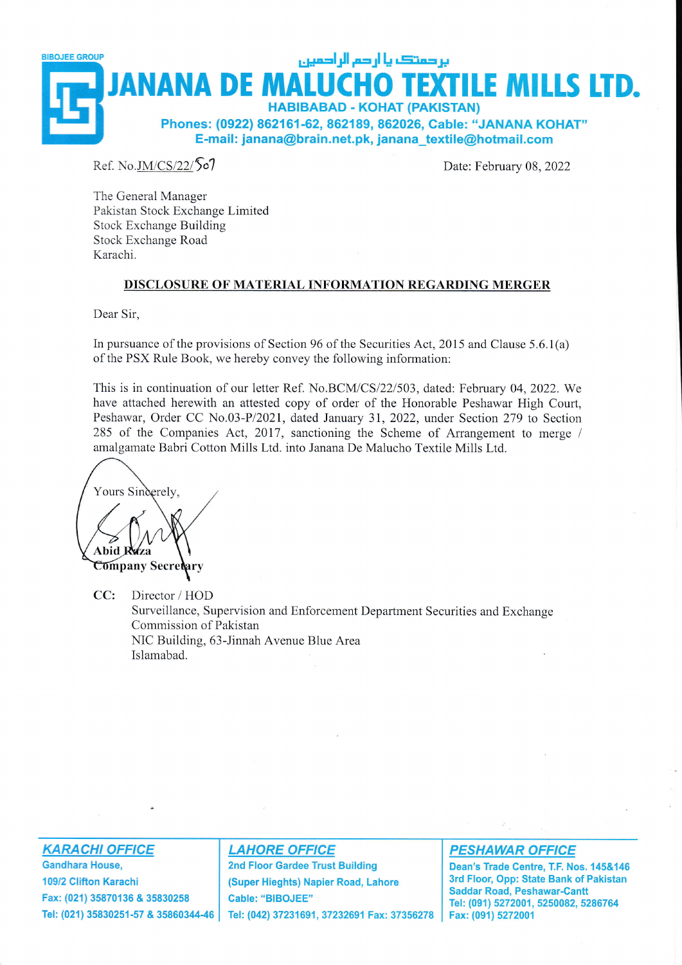

Ref. No.JM/CS/22/507

Date: February 08, 2022

The General Manager Pakistan Stock Exchange Limited Stock Exchange Building Stock Exchange Road Karachi.

#### DISCLOSUBE OF MATERIAL INFORMATION REGARDING MERGER

Dear Sir,

In pursuance of the provisions of Section 96 of the Securities Act, 2015 and Clause 5.6.1(a) of the PSX Rule Book, we hereby convey the following information:

This is in continuation of our letter Ref. No.BCM/CS/22/503, dated: February 04, 2022. We have attached herewith an attested copy of order of the Honorable Peshawar High Court, Peshawar, Order CC No.03-P/2021, dated January 31, 2022, under Section 279 to Section 285 of the Companies Act, 2017, sanctioning the Scheme of Arrangement to merge / amalgamate Babri Cotton Mills Ltd. into Janana De Malucho Textile Mills Ltd.

Yours Sinderely, **Ahid Company Secretary** 

CC: Director / HOD Surveillance, Supervision and Enforcement Department Securities and Exchange Commission of Pakistan NIC Building, 63-Jinnah Avenue Blue Area Islarnabad.

**KARACHI OFFICE** 

Gandhara House, 109/2 Glifton Karachi Fax: (021) 35870136 & 35830258 Tel: (021) 35830251-57 & 3586034446

#### **LAHORE OFFICE**

2nd Floor Gardee Trust Building (Super Hieghts) Napier Road, Lahore Cable: "BIBOJEE" Tel: (042) 37231691, 37232691 Fax: 37356278

#### PESHAWAR OFFICE

Dean's Trade Centre, T.F. Nos. 145&146 3rd Floor, Opp: State Bank of Pakistan Saddar Road, Peshawar-Cantt Tel: (091) 5272001, 5250082, 5286764 Fax: (091) 5272001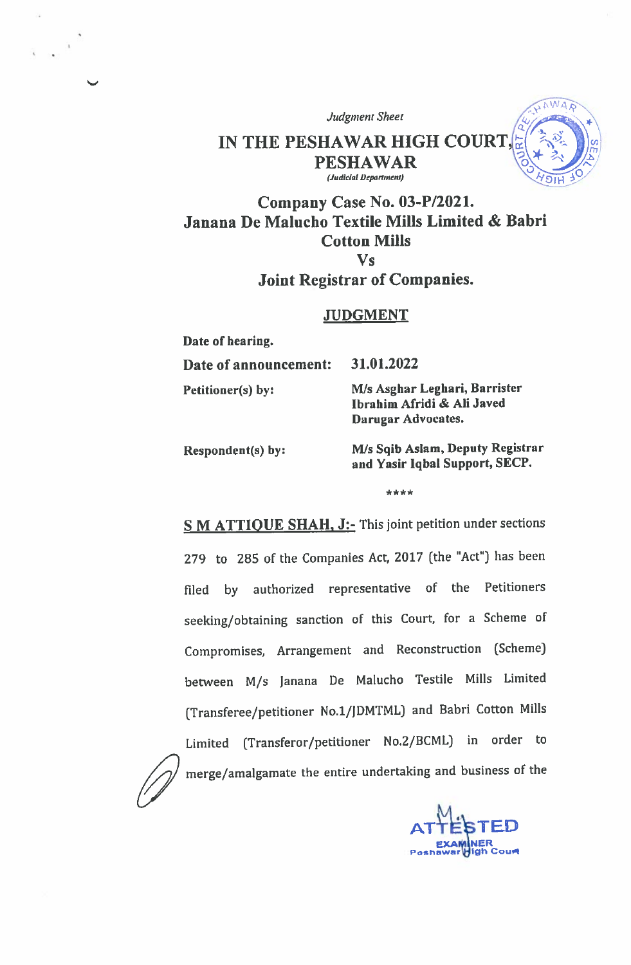**Judgment Sheet** 

### IN THE PESHAWAR HIGH COURT, **PESHAWAR** (Judicial Department)

# Company Case No. 03-P/2021. Janana De Malucho Textile Mills Limited & Babri **Cotton Mills**  $\mathbf{V}\mathbf{s}$

## **Joint Registrar of Companies.**

### **JUDGMENT**

Date of hearing. Date of announcement: 31.01.2022 M/s Asghar Leghari, Barrister Petitioner(s) by: Ibrahim Afridi & Ali Javed Darugar Advocates. M/s Sqib Aslam, Deputy Registrar

Respondent(s) by:

and Yasir Iqbal Support, SECP.

 $ANA$ 

\*\*\*\*

S M ATTIQUE SHAH, J:- This joint petition under sections 279 to 285 of the Companies Act, 2017 (the "Act") has been filed by authorized representative of the Petitioners seeking/obtaining sanction of this Court, for a Scheme of Compromises, Arrangement and Reconstruction (Scheme) between M/s Janana De Malucho Testile Mills Limited (Transferee/petitioner No.1/JDMTML) and Babri Cotton Mills Limited (Transferor/petitioner No.2/BCML) in order to

merge/amalgamate the entire undertaking and business of the

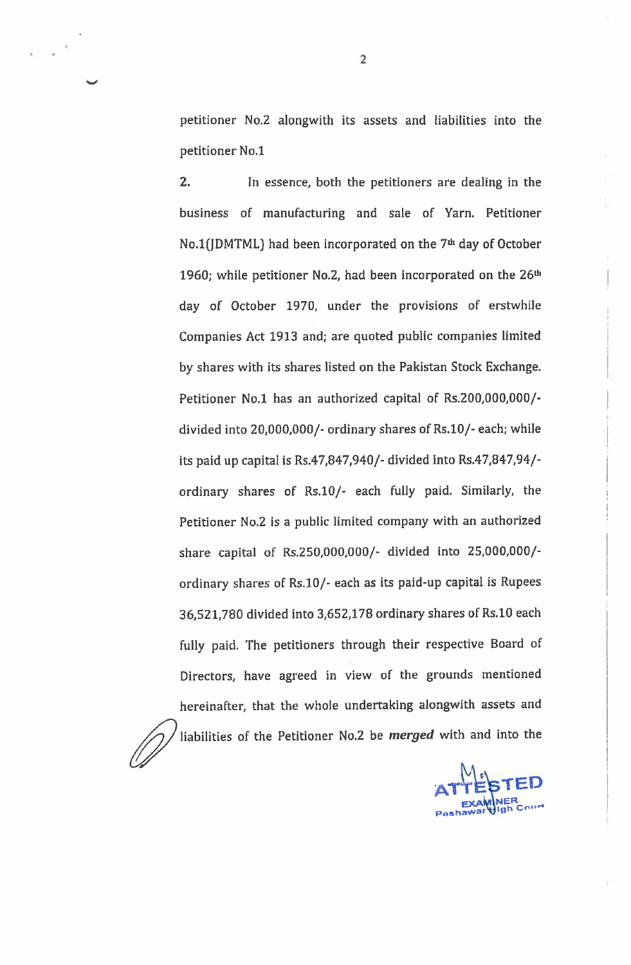petitioner No.2 alongwith its assets and liabilities into the petitioner No.1

 $2<sub>1</sub>$ In essence, both the petitioners are dealing in the business of manufacturing and sale of Yarn. Petitioner No.1(JDMTML) had been incorporated on the 7<sup>th</sup> day of October 1960; while petitioner No.2, had been incorporated on the 26<sup>th</sup> day of October 1970, under the provisions of erstwhile Companies Act 1913 and; are quoted public companies limited by shares with its shares listed on the Pakistan Stock Exchange. Petitioner No.1 has an authorized capital of Rs.200,000,000/divided into 20,000,000/- ordinary shares of Rs.10/- each; while its paid up capital is Rs.47,847,940/- divided into Rs.47,847,94/ordinary shares of Rs.10/- each fully paid. Similarly, the Petitioner No.2 is a public limited company with an authorized share capital of Rs.250,000,000/- divided into 25,000,000/ordinary shares of Rs.10/- each as its paid-up capital is Rupees 36,521,780 divided into 3,652,178 ordinary shares of Rs.10 each fully paid. The petitioners through their respective Board of Directors, have agreed in view of the grounds mentioned hereinafter, that the whole undertaking alongwith assets and liabilities of the Petitioner No.2 be *merged* with and into the

 $\overline{2}$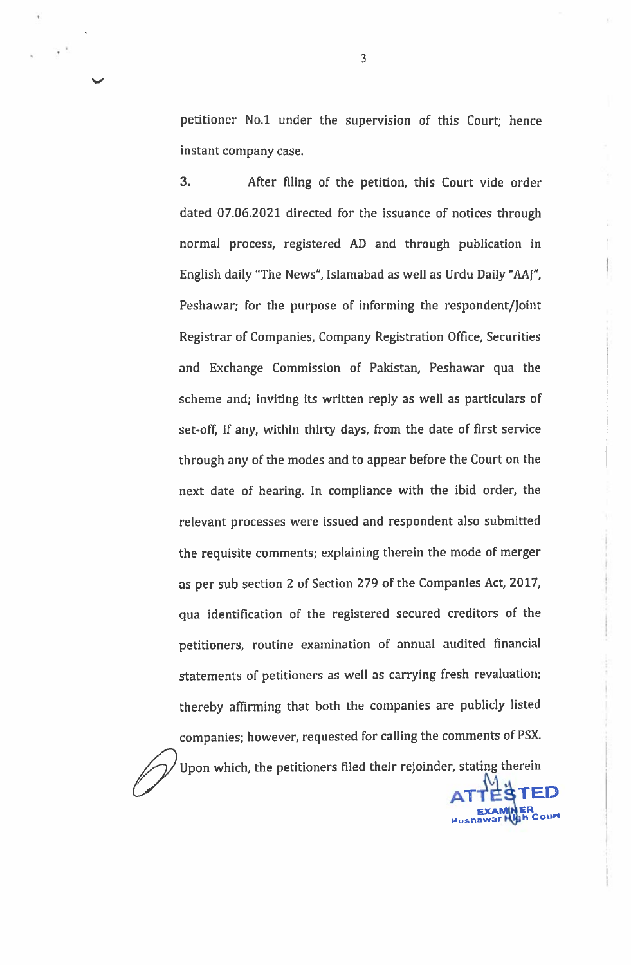petitioner No.1 under the supervision of this Court; hence instant company case.

 $3.$ After filing of the petition, this Court vide order dated 07.06.2021 directed for the issuance of notices through normal process, registered AD and through publication in English daily "The News", Islamabad as well as Urdu Daily "AAJ", Peshawar; for the purpose of informing the respondent/Joint Registrar of Companies, Company Registration Office, Securities and Exchange Commission of Pakistan, Peshawar qua the scheme and; inviting its written reply as well as particulars of set-off, if any, within thirty days, from the date of first service through any of the modes and to appear before the Court on the next date of hearing. In compliance with the ibid order, the relevant processes were issued and respondent also submitted the requisite comments; explaining therein the mode of merger as per sub section 2 of Section 279 of the Companies Act, 2017, qua identification of the registered secured creditors of the petitioners, routine examination of annual audited financial statements of petitioners as well as carrying fresh revaluation; thereby affirming that both the companies are publicly listed companies; however, requested for calling the comments of PSX.

Upon which, the petitioners filed their rejoinder, stating therein

 $\overline{\mathbf{3}}$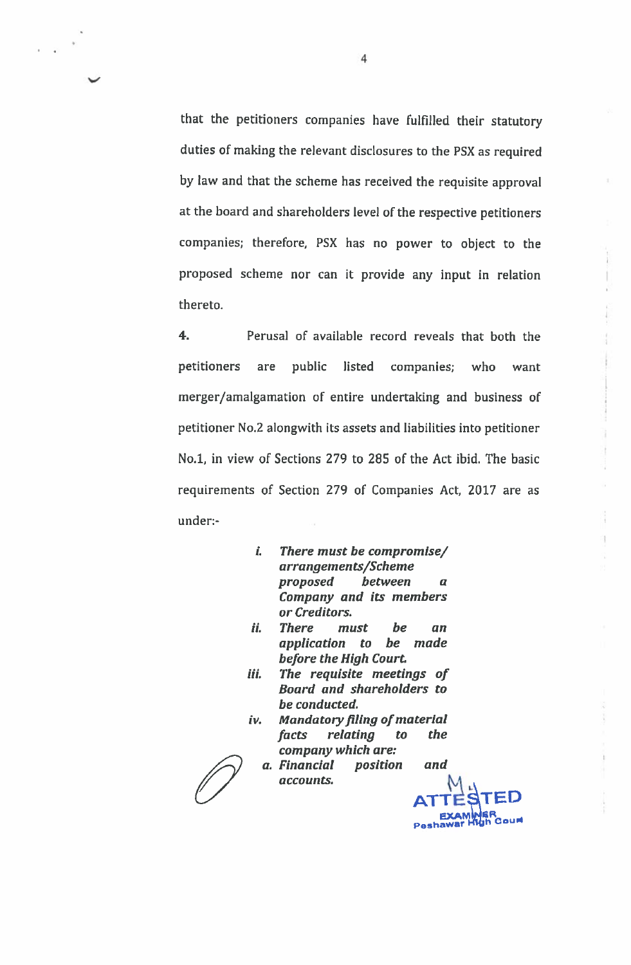that the petitioners companies have fulfilled their statutory duties of making the relevant disclosures to the PSX as required by law and that the scheme has received the requisite approval at the board and shareholders level of the respective petitioners companies; therefore, PSX has no power to object to the proposed scheme nor can it provide any input in relation thereto.

 $4.$ Perusal of available record reveals that both the petitioners are public listed companies; who want merger/amalgamation of entire undertaking and business of petitioner No.2 alongwith its assets and liabilities into petitioner No.1, in view of Sections 279 to 285 of the Act ibid. The basic requirements of Section 279 of Companies Act, 2017 are as under:-

- i. There must be compromise/ arrangements/Scheme proposed between  $\boldsymbol{a}$ Company and its members or Creditors.
- ii. **There** must be an application to be made before the High Court.
- The requisite meetings of iii. Board and shareholders to be conducted.
- iv. **Mandatory filing of material** *facts* relating  $\boldsymbol{\mathit{to}}$ *the* company which are:

a. Financial position and accounts.

**Court** 

4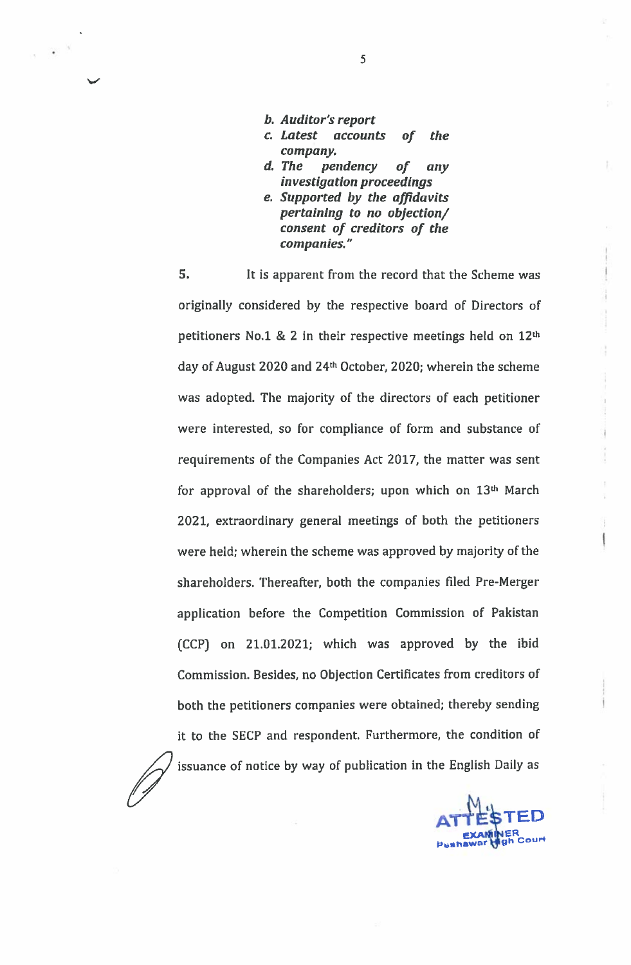- b. Auditor's report
- c. Latest accounts the of company.
- d. The pendency  $of$ any investigation proceedings
- e. Supported by the affidavits pertaining to no objection/ consent of creditors of the companies."

 $5.$ It is apparent from the record that the Scheme was originally considered by the respective board of Directors of petitioners No.1 & 2 in their respective meetings held on 12th day of August 2020 and 24th October, 2020; wherein the scheme was adopted. The majority of the directors of each petitioner were interested, so for compliance of form and substance of requirements of the Companies Act 2017, the matter was sent for approval of the shareholders; upon which on 13<sup>th</sup> March 2021, extraordinary general meetings of both the petitioners were held; wherein the scheme was approved by majority of the shareholders. Thereafter, both the companies filed Pre-Merger application before the Competition Commission of Pakistan (CCP) on 21.01.2021; which was approved by the ibid Commission. Besides, no Objection Certificates from creditors of both the petitioners companies were obtained; thereby sending it to the SECP and respondent. Furthermore, the condition of issuance of notice by way of publication in the English Daily as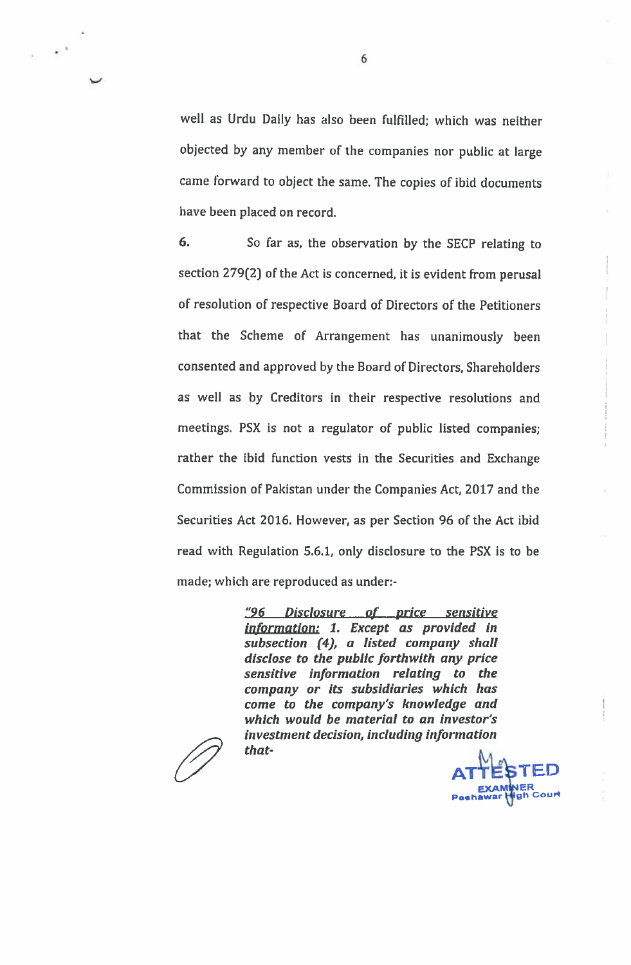well as Urdu Daily has also been fulfilled; which was neither objected by any member of the companies nor public at large came forward to object the same. The copies of ibid documents have been placed on record.

6. So far as, the observation by the SECP relating to section 279(2) of the Act is concerned, it is evident from perusal of resolution of respective Board of Directors of the Petitioners that the Scheme of Arrangement has unanimously been consented and approved by the Board of Directors, Shareholders as well as by Creditors in their respective resolutions and meetings. PSX is not a regulator of public listed companies; rather the ibid function vests in the Securities and Exchange Commission of Pakistan under the Companies Act, 2017 and the Securities Act 2016. However, as per Section 96 of the Act ibid read with Regulation 5.6.1, only disclosure to the PSX is to be made; which are reproduced as under:-

> <u>"96 Disclosure of price sensitive</u> information: 1. Except as provided in subsection (4), a listed company shall disclose to the public forthwith any price sensitive information relating to the company or its subsidiaries which has come to the company's knowledge and which would be material to an investor's investment decision, including information that-

6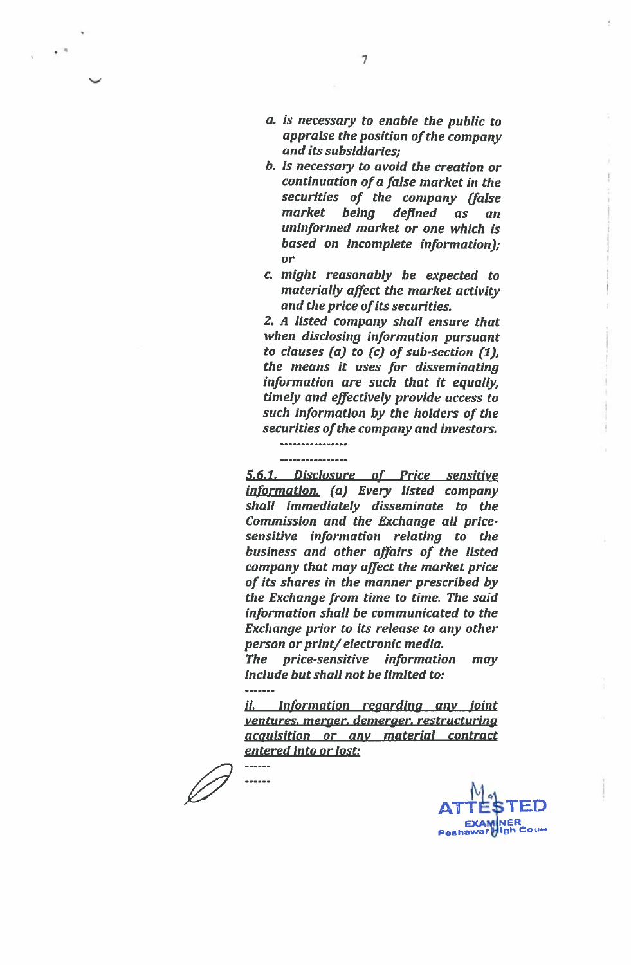- a. is necessary to enable the public to appraise the position of the company and its subsidiaries:
- b. is necessary to avoid the creation or continuation of a false market in the securities of the company (false market being defined  $\overline{a}$ s an uninformed market or one which is based on incomplete information); or
- c. might reasonably be expected to materially affect the market activity and the price of its securities.

2. A listed company shall ensure that when disclosing information pursuant to clauses  $(a)$  to  $(c)$  of sub-section  $(1)$ , the means it uses for disseminating information are such that it equally, timely and effectively provide access to such information by the holders of the securities of the company and investors.

## ----------------

5.6.1. Disclosure of Price sensitive information. (a) Every listed company shall immediately disseminate to the Commission and the Exchange all pricesensitive information relating to the business and other affairs of the listed company that may affect the market price of its shares in the manner prescribed by the Exchange from time to time. The said information shall be communicated to the Exchange prior to its release to any other person or print/electronic media.

The price-sensitive information may include but shall not be limited to:

*ii.* Information regarding any joint ventures. merger. demerger. restructuring acauisition or any material contract entered into or lost:

------ $\frac{1}{2}$ 

**NER** ∦INER<br>High Cou⇔